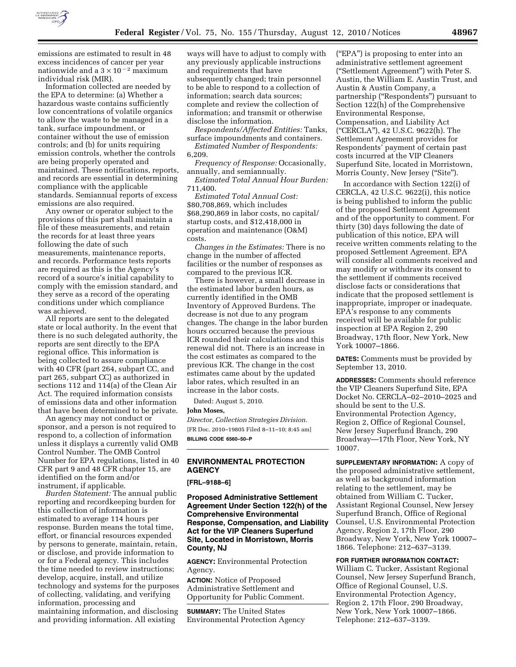

emissions are estimated to result in 48 excess incidences of cancer per year nationwide and a  $3 \times 10^{-2}$  maximum individual risk (MIR).

Information collected are needed by the EPA to determine: (a) Whether a hazardous waste contains sufficiently low concentrations of volatile organics to allow the waste to be managed in a tank, surface impoundment, or container without the use of emission controls; and (b) for units requiring emission controls, whether the controls are being properly operated and maintained. These notifications, reports, and records are essential in determining compliance with the applicable standards. Semiannual reports of excess emissions are also required.

Any owner or operator subject to the provisions of this part shall maintain a file of these measurements, and retain the records for at least three years following the date of such measurements, maintenance reports, and records. Performance tests reports are required as this is the Agency's record of a source's initial capability to comply with the emission standard, and they serve as a record of the operating conditions under which compliance was achieved.

All reports are sent to the delegated state or local authority. In the event that there is no such delegated authority, the reports are sent directly to the EPA regional office. This information is being collected to assure compliance with 40 CFR (part 264, subpart CC, and part 265, subpart CC) as authorized in sections 112 and 114(a) of the Clean Air Act. The required information consists of emissions data and other information that have been determined to be private.

An agency may not conduct or sponsor, and a person is not required to respond to, a collection of information unless it displays a currently valid OMB Control Number. The OMB Control Number for EPA regulations, listed in 40 CFR part 9 and 48 CFR chapter 15, are identified on the form and/or instrument, if applicable.

*Burden Statement:* The annual public reporting and recordkeeping burden for this collection of information is estimated to average 114 hours per response. Burden means the total time, effort, or financial resources expended by persons to generate, maintain, retain, or disclose, and provide information to or for a Federal agency. This includes the time needed to review instructions; develop, acquire, install, and utilize technology and systems for the purposes of collecting, validating, and verifying information, processing and maintaining information, and disclosing and providing information. All existing

ways will have to adjust to comply with any previously applicable instructions and requirements that have subsequently changed; train personnel to be able to respond to a collection of information; search data sources; complete and review the collection of information; and transmit or otherwise disclose the information.

*Respondents/Affected Entities:* Tanks, surface impoundments and containers.

*Estimated Number of Respondents:*  6,209.

*Frequency of Response:* Occasionally, annually, and semiannually.

*Estimated Total Annual Hour Burden:*  711,400.

*Estimated Total Annual Cost:*  \$80,708,869, which includes \$68,290,869 in labor costs, no capital/ startup costs, and \$12,418,000 in operation and maintenance (O&M) costs.

*Changes in the Estimates:* There is no change in the number of affected facilities or the number of responses as compared to the previous ICR.

There is however, a small decrease in the estimated labor burden hours, as currently identified in the OMB Inventory of Approved Burdens. The decrease is not due to any program changes. The change in the labor burden hours occurred because the previous ICR rounded their calculations and this renewal did not. There is an increase in the cost estimates as compared to the previous ICR. The change in the cost estimates came about by the updated labor rates, which resulted in an increase in the labor costs.

Dated: August 5, 2010.

**John Moses,** 

*Director, Collection Strategies Division.*  [FR Doc. 2010–19805 Filed 8–11–10; 8:45 am] **BILLING CODE 6560–50–P** 

## **ENVIRONMENTAL PROTECTION AGENCY**

**[FRL–9188–6]** 

**Proposed Administrative Settlement Agreement Under Section 122(h) of the Comprehensive Environmental Response, Compensation, and Liability Act for the VIP Cleaners Superfund Site, Located in Morristown, Morris County, NJ** 

**AGENCY:** Environmental Protection Agency.

**ACTION:** Notice of Proposed Administrative Settlement and Opportunity for Public Comment.

**SUMMARY:** The United States Environmental Protection Agency (''EPA'') is proposing to enter into an administrative settlement agreement (''Settlement Agreement'') with Peter S. Austin, the William E. Austin Trust, and Austin & Austin Company, a partnership (''Respondents'') pursuant to Section 122(h) of the Comprehensive Environmental Response, Compensation, and Liability Act (''CERCLA''), 42 U.S.C. 9622(h). The Settlement Agreement provides for Respondents' payment of certain past costs incurred at the VIP Cleaners Superfund Site, located in Morristown, Morris County, New Jersey ("Site").

In accordance with Section 122(i) of CERCLA, 42 U.S.C. 9622(i), this notice is being published to inform the public of the proposed Settlement Agreement and of the opportunity to comment. For thirty (30) days following the date of publication of this notice, EPA will receive written comments relating to the proposed Settlement Agreement. EPA will consider all comments received and may modify or withdraw its consent to the settlement if comments received disclose facts or considerations that indicate that the proposed settlement is inappropriate, improper or inadequate. EPA's response to any comments received will be available for public inspection at EPA Region 2, 290 Broadway, 17th floor, New York, New York 10007–1866.

**DATES:** Comments must be provided by September 13, 2010.

**ADDRESSES:** Comments should reference the VIP Cleaners Superfund Site, EPA Docket No. CERCLA–02–2010–2025 and should be sent to the U.S. Environmental Protection Agency, Region 2, Office of Regional Counsel, New Jersey Superfund Branch, 290 Broadway—17th Floor, New York, NY 10007.

**SUPPLEMENTARY INFORMATION:** A copy of the proposed administrative settlement, as well as background information relating to the settlement, may be obtained from William C. Tucker, Assistant Regional Counsel, New Jersey Superfund Branch, Office of Regional Counsel, U.S. Environmental Protection Agency, Region 2, 17th Floor, 290 Broadway, New York, New York 10007– 1866. Telephone: 212–637–3139.

**FOR FURTHER INFORMATION CONTACT:**  William C. Tucker, Assistant Regional Counsel, New Jersey Superfund Branch, Office of Regional Counsel, U.S. Environmental Protection Agency, Region 2, 17th Floor, 290 Broadway, New York, New York 10007–1866. Telephone: 212–637–3139.